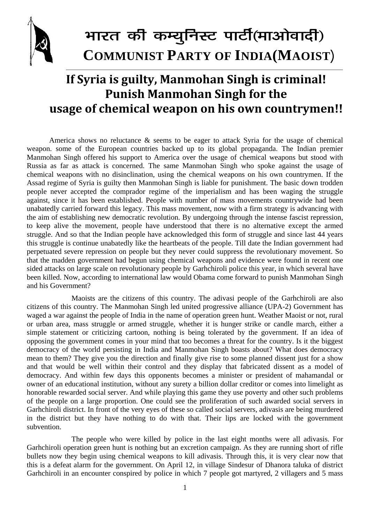

## भारत की कम्युनिस्ट पार्टी(माओवादी) **COMMUNIST PARTY OF INDIA(MAOIST)**

## **If Syria is guilty, Manmohan Singh is criminal! Punish Manmohan Singh for the usage of chemical weapon on his own countrymen!!**

America shows no reluctance & seems to be eager to attack Syria for the usage of chemical weapon. some of the European countries backed up to its global propaganda. The Indian premier Manmohan Singh offered his support to America over the usage of chemical weapons but stood with Russia as far as attack is concerned. The same Manmohan Singh who spoke against the usage of chemical weapons with no disinclination, using the chemical weapons on his own countrymen. If the Assad regime of Syria is guilty then Manmohan Singh is liable for punishment. The basic down trodden people never accepted the comprador regime of the imperialism and has been waging the struggle against, since it has been established. People with number of mass movements countrywide had been unabatedly carried forward this legacy. This mass movement, now with a firm strategy is advancing with the aim of establishing new democratic revolution. By undergoing through the intense fascist repression, to keep alive the movement, people have understood that there is no alternative except the armed struggle. And so that the Indian people have acknowledged this form of struggle and since last 44 years this struggle is continue unabatedly like the heartbeats of the people. Till date the Indian government had perpetuated severe repression on people but they never could suppress the revolutionary movement. So that the madden government had begun using chemical weapons and evidence were found in recent one sided attacks on large scale on revolutionary people by Garhchiroli police this year, in which several have been killed. Now, according to international law would Obama come forward to punish Manmohan Singh and his Government?

 Maoists are the citizens of this country. The adivasi people of the Garhchiroli are also citizens of this country. The Manmohan Singh led united progressive alliance (UPA-2) Government has waged a war against the people of India in the name of operation green hunt. Weather Maoist or not, rural or urban area, mass struggle or armed struggle, whether it is hunger strike or candle march, either a simple statement or criticizing cartoon, nothing is being tolerated by the government. If an idea of opposing the government comes in your mind that too becomes a threat for the country. Is it the biggest democracy of the world persisting in India and Manmohan Singh boasts about? What does democracy mean to them? They give you the direction and finally give rise to some planned dissent just for a show and that would be well within their control and they display that fabricated dissent as a model of democracy. And within few days this opponents becomes a minister or president of mahamandal or owner of an educational institution, without any surety a billion dollar creditor or comes into limelight as honorable rewarded social server. And while playing this game they use poverty and other such problems of the people on a large proportion. One could see the proliferation of such awarded social servers in Garhchiroli district. In front of the very eyes of these so called social servers, adivasis are being murdered in the district but they have nothing to do with that. Their lips are locked with the government subvention.

 The people who were killed by police in the last eight months were all adivasis. For Garhchiroli operation green hunt is nothing but an excretion campaign. As they are running short of rifle bullets now they begin using chemical weapons to kill adivasis. Through this, it is very clear now that this is a defeat alarm for the government. On April 12, in village Sindesur of Dhanora taluka of district Garhchiroli in an encounter conspired by police in which 7 people got martyred, 2 villagers and 5 mass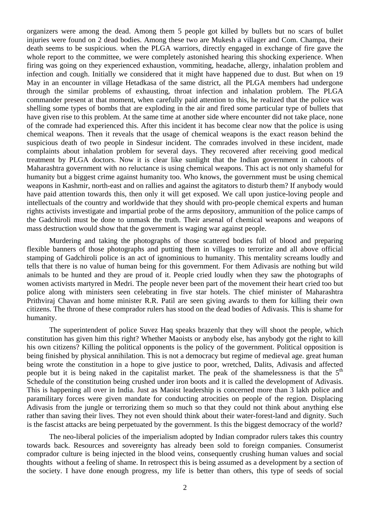organizers were among the dead. Among them 5 people got killed by bullets but no scars of bullet injuries were found on 2 dead bodies. Among these two are Mukesh a villager and Com. Champa, their death seems to be suspicious. when the PLGA warriors, directly engaged in exchange of fire gave the whole report to the committee, we were completely astonished hearing this shocking experience. When firing was going on they experienced exhaustion, vommiting, headache, allergy, inhalation problem and infection and cough. Initially we considered that it might have happened due to dust. But when on 19 May in an encounter in village Hetadkasa of the same district, all the PLGA members had undergone through the similar problems of exhausting, throat infection and inhalation problem. The PLGA commander present at that moment, when carefully paid attention to this, he realized that the police was shelling some types of bombs that are exploding in the air and fired some particular type of bullets that have given rise to this problem. At the same time at another side where encounter did not take place, none of the comrade had experienced this. After this incident it has become clear now that the police is using chemical weapons. Then it reveals that the usage of chemical weapons is the exact reason behind the suspicious death of two people in Sindesur incident. The comrades involved in these incident, made complaints about inhalation problem for several days. They recovered after receiving good medical treatment by PLGA doctors. Now it is clear like sunlight that the Indian government in cahoots of Maharashtra government with no reluctance is using chemical weapons. This act is not only shameful for humanity but a biggest crime against humanity too. Who knows, the government must be using chemical weapons in Kashmir, north-east and on rallies and against the agitators to disturb them? If anybody would have paid attention towards this, then only it will get exposed. We call upon justice-loving people and intellectuals of the country and worldwide that they should with pro-people chemical experts and human rights activists investigate and impartial probe of the arms depository, ammunition of the police camps of the Gadchiroli must be done to unmask the truth. Their arsenal of chemical weapons and weapons of mass destruction would show that the government is waging war against people.

Murdering and taking the photographs of those scattered bodies full of blood and preparing flexible banners of those photographs and putting them in villages to terrorize and all above official stamping of Gadchiroli police is an act of ignominious to humanity. This mentality screams loudly and tells that there is no value of human being for this government. For them Adivasis are nothing but wild animals to be hunted and they are proud of it. People cried loudly when they saw the photographs of women activists martyred in Medri. The people never been part of the movement their heart cried too but police along with ministers seen celebrating in five star hotels. The chief minister of Maharashtra Prithviraj Chavan and home minister R.R. Patil are seen giving awards to them for killing their own citizens. The throne of these comprador rulers has stood on the dead bodies of Adivasis. This is shame for humanity.

The superintendent of police Suvez Haq speaks brazenly that they will shoot the people, which constitution has given him this right? Whether Maoists or anybody else, has anybody got the right to kill his own citizens? Killing the political opponents is the policy of the government. Political opposition is being finished by physical annihilation. This is not a democracy but regime of medieval age. great human being wrote the constitution in a hope to give justice to poor, wretched, Dalits, Adivasis and affected people but it is being naked in the capitalist market. The peak of the shamelessness is that the  $5<sup>th</sup>$ Schedule of the constitution being crushed under iron boots and it is called the development of Adivasis. This is happening all over in India. Just as Maoist leadership is concerned more than 3 lakh police and paramilitary forces were given mandate for conducting atrocities on people of the region. Displacing Adivasis from the jungle or terrorizing them so much so that they could not think about anything else rather than saving their lives. They not even should think about their water-forest-land and dignity. Such is the fascist attacks are being perpetuated by the government. Is this the biggest democracy of the world?

The neo-liberal policies of the imperialism adopted by Indian comprador rulers takes this country towards back. Resources and sovereignty has already been sold to foreign companies. Consumerist comprador culture is being injected in the blood veins, consequently crushing human values and social thoughts without a feeling of shame. In retrospect this is being assumed as a development by a section of the society. I have done enough progress, my life is better than others, this type of seeds of social